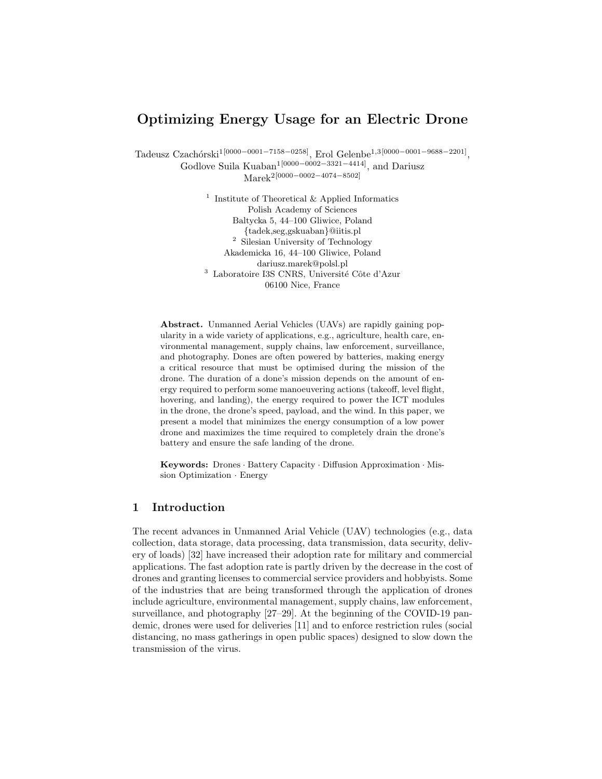## Optimizing Energy Usage for an Electric Drone

Tadeusz Czachórski<sup>1[0000–0001–7158–0258]</sup>, Erol Gelenbe<sup>1,3[0000–0001–9688–2201]</sup>, Godlove Suila Kuaban<sup>1[0000–0002–3321–4414]</sup>, and Dariusz Marek2[0000−0002−4074−8502]

> <sup>1</sup> Institute of Theoretical & Applied Informatics Polish Academy of Sciences Baltycka 5, 44–100 Gliwice, Poland {tadek,seg,gskuaban}@iitis.pl <sup>2</sup> Silesian University of Technology Akademicka 16, 44–100 Gliwice, Poland dariusz.marek@polsl.pl  $^3\,$  Laboratoire I3S CNRS, Université Côte d'Azur 06100 Nice, France

Abstract. Unmanned Aerial Vehicles (UAVs) are rapidly gaining popularity in a wide variety of applications, e.g., agriculture, health care, environmental management, supply chains, law enforcement, surveillance, and photography. Dones are often powered by batteries, making energy a critical resource that must be optimised during the mission of the drone. The duration of a done's mission depends on the amount of energy required to perform some manoeuvering actions (takeoff, level flight, hovering, and landing), the energy required to power the ICT modules in the drone, the drone's speed, payload, and the wind. In this paper, we present a model that minimizes the energy consumption of a low power drone and maximizes the time required to completely drain the drone's battery and ensure the safe landing of the drone.

Keywords: Drones · Battery Capacity · Diffusion Approximation · Mission Optimization · Energy

### 1 Introduction

The recent advances in Unmanned Arial Vehicle (UAV) technologies (e.g., data collection, data storage, data processing, data transmission, data security, delivery of loads) [32] have increased their adoption rate for military and commercial applications. The fast adoption rate is partly driven by the decrease in the cost of drones and granting licenses to commercial service providers and hobbyists. Some of the industries that are being transformed through the application of drones include agriculture, environmental management, supply chains, law enforcement, surveillance, and photography [27–29]. At the beginning of the COVID-19 pandemic, drones were used for deliveries [11] and to enforce restriction rules (social distancing, no mass gatherings in open public spaces) designed to slow down the transmission of the virus.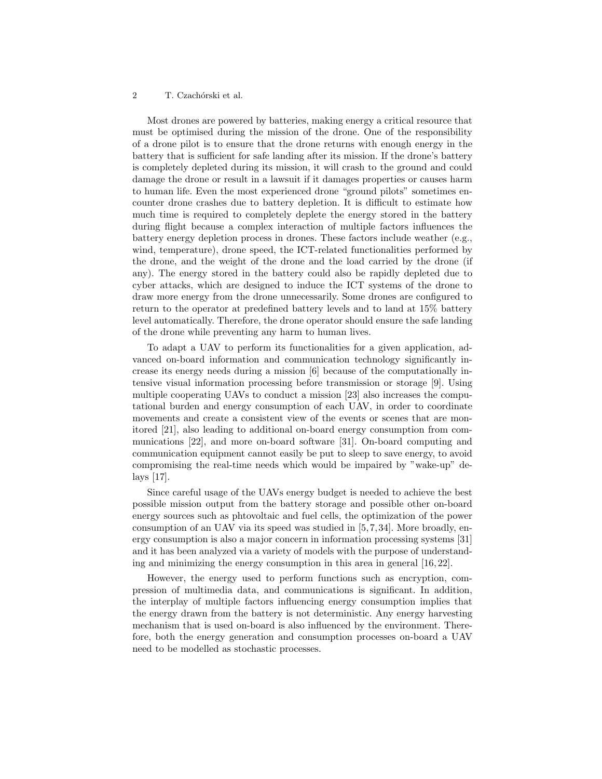#### 2 T. Czachórski et al.

Most drones are powered by batteries, making energy a critical resource that must be optimised during the mission of the drone. One of the responsibility of a drone pilot is to ensure that the drone returns with enough energy in the battery that is sufficient for safe landing after its mission. If the drone's battery is completely depleted during its mission, it will crash to the ground and could damage the drone or result in a lawsuit if it damages properties or causes harm to human life. Even the most experienced drone "ground pilots" sometimes encounter drone crashes due to battery depletion. It is difficult to estimate how much time is required to completely deplete the energy stored in the battery during flight because a complex interaction of multiple factors influences the battery energy depletion process in drones. These factors include weather (e.g., wind, temperature), drone speed, the ICT-related functionalities performed by the drone, and the weight of the drone and the load carried by the drone (if any). The energy stored in the battery could also be rapidly depleted due to cyber attacks, which are designed to induce the ICT systems of the drone to draw more energy from the drone unnecessarily. Some drones are configured to return to the operator at predefined battery levels and to land at 15% battery level automatically. Therefore, the drone operator should ensure the safe landing of the drone while preventing any harm to human lives.

To adapt a UAV to perform its functionalities for a given application, advanced on-board information and communication technology significantly increase its energy needs during a mission [6] because of the computationally intensive visual information processing before transmission or storage [9]. Using multiple cooperating UAVs to conduct a mission [23] also increases the computational burden and energy consumption of each UAV, in order to coordinate movements and create a consistent view of the events or scenes that are monitored [21], also leading to additional on-board energy consumption from communications [22], and more on-board software [31]. On-board computing and communication equipment cannot easily be put to sleep to save energy, to avoid compromising the real-time needs which would be impaired by "wake-up" delays [17].

Since careful usage of the UAVs energy budget is needed to achieve the best possible mission output from the battery storage and possible other on-board energy sources such as phtovoltaic and fuel cells, the optimization of the power consumption of an UAV via its speed was studied in [5, 7, 34]. More broadly, energy consumption is also a major concern in information processing systems [31] and it has been analyzed via a variety of models with the purpose of understanding and minimizing the energy consumption in this area in general [16, 22].

However, the energy used to perform functions such as encryption, compression of multimedia data, and communications is significant. In addition, the interplay of multiple factors influencing energy consumption implies that the energy drawn from the battery is not deterministic. Any energy harvesting mechanism that is used on-board is also influenced by the environment. Therefore, both the energy generation and consumption processes on-board a UAV need to be modelled as stochastic processes.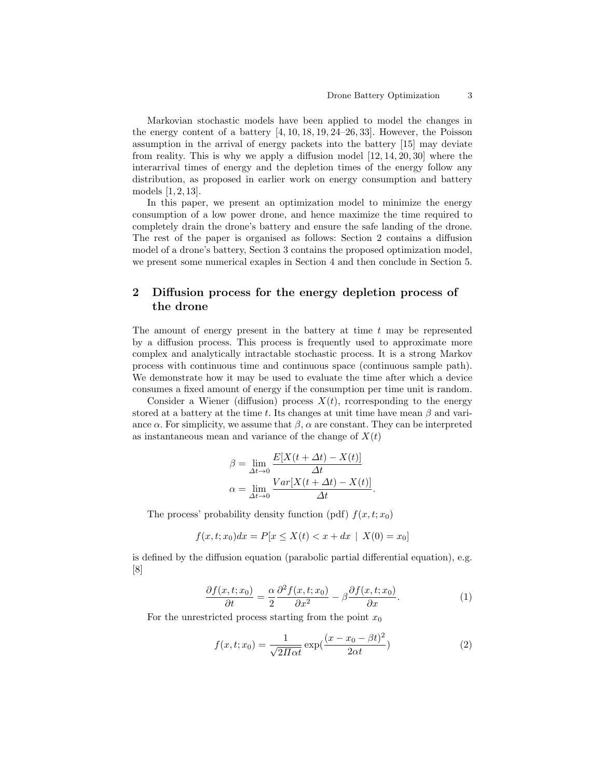Markovian stochastic models have been applied to model the changes in the energy content of a battery [4, 10, 18, 19, 24–26, 33]. However, the Poisson assumption in the arrival of energy packets into the battery [15] may deviate from reality. This is why we apply a diffusion model [12, 14, 20, 30] where the interarrival times of energy and the depletion times of the energy follow any distribution, as proposed in earlier work on energy consumption and battery models [1, 2, 13].

In this paper, we present an optimization model to minimize the energy consumption of a low power drone, and hence maximize the time required to completely drain the drone's battery and ensure the safe landing of the drone. The rest of the paper is organised as follows: Section 2 contains a diffusion model of a drone's battery, Section 3 contains the proposed optimization model, we present some numerical exaples in Section 4 and then conclude in Section 5.

## 2 Diffusion process for the energy depletion process of the drone

The amount of energy present in the battery at time  $t$  may be represented by a diffusion process. This process is frequently used to approximate more complex and analytically intractable stochastic process. It is a strong Markov process with continuous time and continuous space (continuous sample path). We demonstrate how it may be used to evaluate the time after which a device consumes a fixed amount of energy if the consumption per time unit is random.

Consider a Wiener (diffusion) process  $X(t)$ , rcorresponding to the energy stored at a battery at the time t. Its changes at unit time have mean  $\beta$  and variance  $\alpha$ . For simplicity, we assume that  $\beta$ ,  $\alpha$  are constant. They can be interpreted as instantaneous mean and variance of the change of  $X(t)$ 

$$
\beta = \lim_{\Delta t \to 0} \frac{E[X(t + \Delta t) - X(t)]}{\Delta t}
$$

$$
\alpha = \lim_{\Delta t \to 0} \frac{Var[X(t + \Delta t) - X(t)]}{\Delta t}.
$$

The process' probability density function (pdf)  $f(x, t; x_0)$ 

$$
f(x, t; x_0)dx = P[x \le X(t) < x + dx \mid X(0) = x_0]
$$

is defined by the diffusion equation (parabolic partial differential equation), e.g. [8]

$$
\frac{\partial f(x,t;x_0)}{\partial t} = \frac{\alpha}{2} \frac{\partial^2 f(x,t;x_0)}{\partial x^2} - \beta \frac{\partial f(x,t;x_0)}{\partial x}.
$$
 (1)

For the unrestricted process starting from the point  $x_0$ 

$$
f(x,t;x_0) = \frac{1}{\sqrt{2\pi\alpha t}} \exp(\frac{(x-x_0-\beta t)^2}{2\alpha t})
$$
\n(2)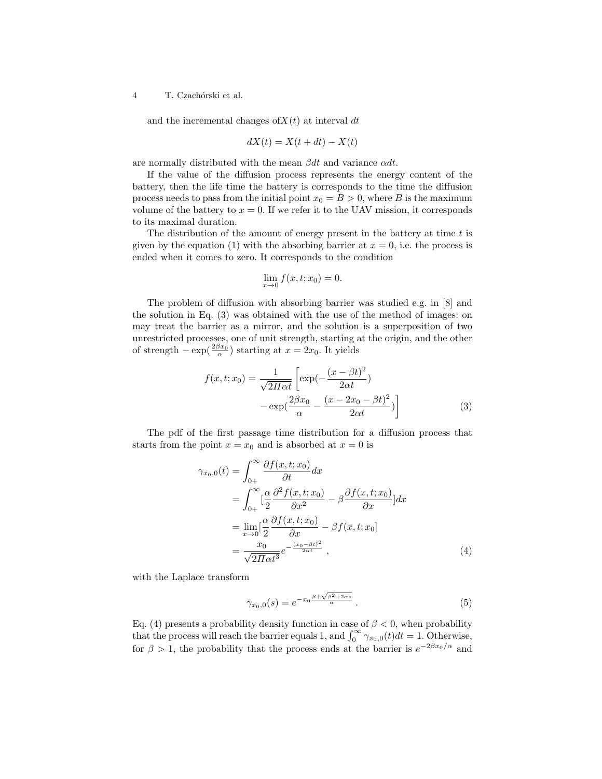4 T. Czachórski et al.

and the incremental changes of  $X(t)$  at interval dt

$$
dX(t) = X(t + dt) - X(t)
$$

are normally distributed with the mean  $\beta dt$  and variance  $\alpha dt$ .

If the value of the diffusion process represents the energy content of the battery, then the life time the battery is corresponds to the time the diffusion process needs to pass from the initial point  $x_0 = B > 0$ , where B is the maximum volume of the battery to  $x = 0$ . If we refer it to the UAV mission, it corresponds to its maximal duration.

The distribution of the amount of energy present in the battery at time  $t$  is given by the equation (1) with the absorbing barrier at  $x = 0$ , i.e. the process is ended when it comes to zero. It corresponds to the condition

$$
\lim_{x \to 0} f(x, t; x_0) = 0.
$$

The problem of diffusion with absorbing barrier was studied e.g. in [8] and the solution in Eq. (3) was obtained with the use of the method of images: on may treat the barrier as a mirror, and the solution is a superposition of two unrestricted processes, one of unit strength, starting at the origin, and the other of strength  $-\exp(\frac{2\beta x_0}{\alpha})$  starting at  $x = 2x_0$ . It yields

$$
f(x,t;x_0) = \frac{1}{\sqrt{2\pi\alpha t}} \left[ \exp\left(-\frac{(x-\beta t)^2}{2\alpha t}\right) -\exp\left(\frac{2\beta x_0}{\alpha} - \frac{(x-2x_0-\beta t)^2}{2\alpha t}\right) \right]
$$
(3)

The pdf of the first passage time distribution for a diffusion process that starts from the point  $x = x_0$  and is absorbed at  $x = 0$  is

$$
\gamma_{x_0,0}(t) = \int_{0+}^{\infty} \frac{\partial f(x,t;x_0)}{\partial t} dx
$$
  
= 
$$
\int_{0+}^{\infty} \left[ \frac{\alpha}{2} \frac{\partial^2 f(x,t;x_0)}{\partial x^2} - \beta \frac{\partial f(x,t;x_0)}{\partial x} \right] dx
$$
  
= 
$$
\lim_{x \to 0} \left[ \frac{\alpha}{2} \frac{\partial f(x,t;x_0)}{\partial x} - \beta f(x,t;x_0) \right]
$$
  
= 
$$
\frac{x_0}{\sqrt{2\pi \alpha t^3}} e^{-\frac{(x_0 - \beta t)^2}{2\alpha t}},
$$
 (4)

with the Laplace transform

$$
\bar{\gamma}_{x_0,0}(s) = e^{-x_0 \frac{\beta + \sqrt{\beta^2 + 2\alpha s}}{\alpha}}.
$$
\n(5)

Eq. (4) presents a probability density function in case of  $\beta < 0$ , when probability that the process will reach the barrier equals 1, and  $\int_0^\infty \gamma_{x_0,0}(t)dt = 1$ . Otherwise, for  $\beta > 1$ , the probability that the process ends at the barrier is  $e^{-2\beta x_0/\alpha}$  and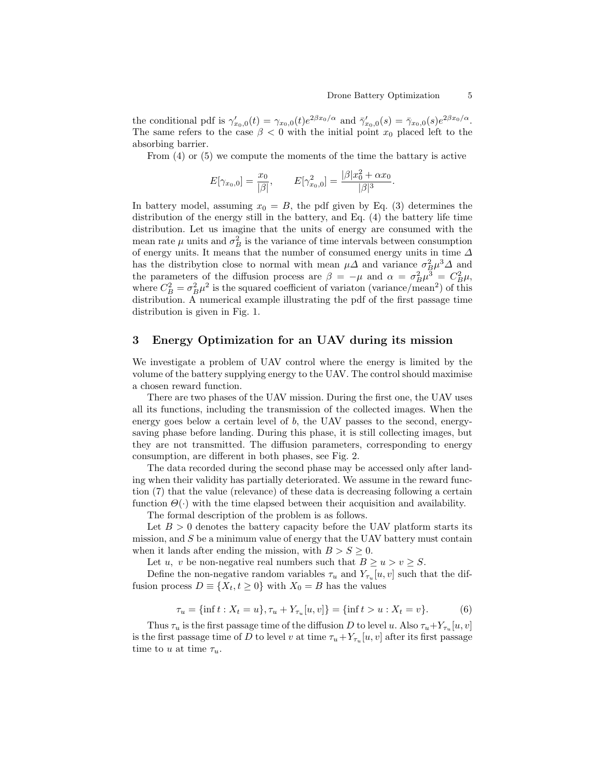the conditional pdf is  $\gamma'_{x_0,0}(t) = \gamma_{x_0,0}(t) e^{2\beta x_0/\alpha}$  and  $\bar{\gamma}'_{x_0,0}(s) = \bar{\gamma}_{x_0,0}(s) e^{2\beta x_0/\alpha}$ . The same refers to the case  $\beta < 0$  with the initial point  $x_0$  placed left to the absorbing barrier.

From (4) or (5) we compute the moments of the time the battary is active

$$
E[\gamma_{x_0,0}] = \frac{x_0}{|\beta|}, \qquad E[\gamma_{x_0,0}^2] = \frac{|\beta|x_0^2 + \alpha x_0}{|\beta|^3}.
$$

In battery model, assuming  $x_0 = B$ , the pdf given by Eq. (3) determines the distribution of the energy still in the battery, and Eq. (4) the battery life time distribution. Let us imagine that the units of energy are consumed with the mean rate  $\mu$  units and  $\sigma_B^2$  is the variance of time intervals between consumption of energy units. It means that the number of consumed energy units in time  $\Delta$ has the distribytion close to normal with mean  $\mu\Delta$  and variance  $\sigma_B^2 \mu^3 \Delta$  and the parameters of the diffusion process are  $\beta = -\mu$  and  $\alpha = \sigma_B^2 \mu^3 = C_B^2 \mu$ , where  $C_B^2 = \sigma_B^2 \mu^2$  is the squared coefficient of variaton (variance/mean<sup>2</sup>) of this distribution. A numerical example illustrating the pdf of the first passage time distribution is given in Fig. 1.

### 3 Energy Optimization for an UAV during its mission

We investigate a problem of UAV control where the energy is limited by the volume of the battery supplying energy to the UAV. The control should maximise a chosen reward function.

There are two phases of the UAV mission. During the first one, the UAV uses all its functions, including the transmission of the collected images. When the energy goes below a certain level of  $b$ , the UAV passes to the second, energysaving phase before landing. During this phase, it is still collecting images, but they are not transmitted. The diffusion parameters, corresponding to energy consumption, are different in both phases, see Fig. 2.

The data recorded during the second phase may be accessed only after landing when their validity has partially deteriorated. We assume in the reward function (7) that the value (relevance) of these data is decreasing following a certain function  $\Theta(\cdot)$  with the time elapsed between their acquisition and availability.

The formal description of the problem is as follows.

Let  $B > 0$  denotes the battery capacity before the UAV platform starts its mission, and  $S$  be a minimum value of energy that the UAV battery must contain when it lands after ending the mission, with  $B > S \geq 0$ .

Let u, v be non-negative real numbers such that  $B \ge u > v \ge S$ .

Define the non-negative random variables  $\tau_u$  and  $Y_{\tau_u}[u, v]$  such that the diffusion process  $D \equiv \{X_t, t \geq 0\}$  with  $X_0 = B$  has the values

$$
\tau_u = \{\inf t : X_t = u\}, \tau_u + Y_{\tau_u}[u, v]\} = \{\inf t > u : X_t = v\}.
$$
 (6)

Thus  $\tau_u$  is the first passage time of the diffusion D to level u. Also  $\tau_u + Y_{\tau_u}[u, v]$ is the first passage time of D to level v at time  $\tau_u + Y_{\tau_u}[u, v]$  after its first passage time to u at time  $\tau_u$ .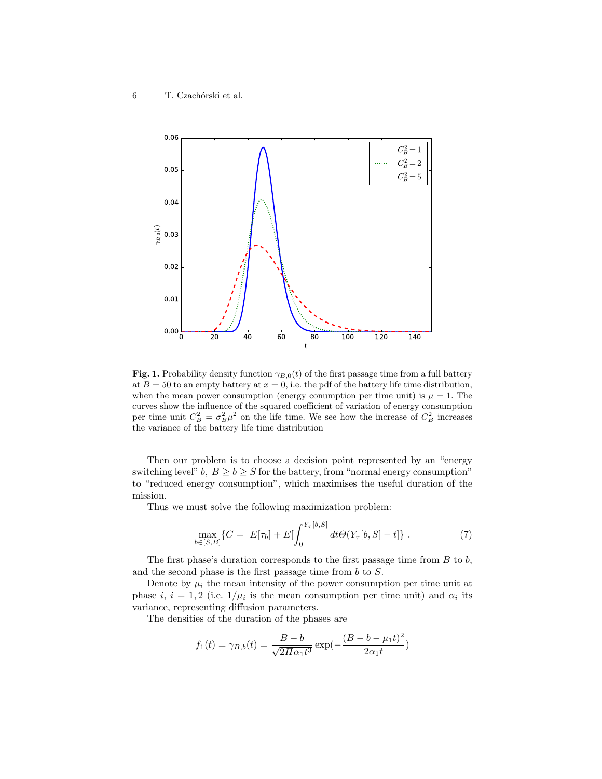

Fig. 1. Probability density function  $\gamma_{B,0}(t)$  of the first passage time from a full battery at  $B = 50$  to an empty battery at  $x = 0$ , i.e. the pdf of the battery life time distribution, when the mean power consumption (energy conumption per time unit) is  $\mu = 1$ . The curves show the influence of the squared coefficient of variation of energy consumption per time unit  $C_B^2 = \sigma_B^2 \mu^2$  on the life time. We see how the increase of  $C_B^2$  increases the variance of the battery life time distribution

Then our problem is to choose a decision point represented by an "energy switching level"  $b, B > b > S$  for the battery, from "normal energy consumption" to "reduced energy consumption", which maximises the useful duration of the mission.

Thus we must solve the following maximization problem:

$$
\max_{b \in [S,B]} \{ C = E[\tau_b] + E[\int_0^{Y_\tau[b,S]} dt \Theta(Y_\tau[b,S] - t] \} .
$$
 (7)

The first phase's duration corresponds to the first passage time from  $B$  to  $b$ , and the second phase is the first passage time from b to S.

Denote by  $\mu_i$  the mean intensity of the power consumption per time unit at phase i,  $i = 1, 2$  (i.e.  $1/\mu_i$  is the mean consumption per time unit) and  $\alpha_i$  its variance, representing diffusion parameters.

The densities of the duration of the phases are

$$
f_1(t) = \gamma_{B,b}(t) = \frac{B - b}{\sqrt{2\pi a_1 t^3}} \exp(-\frac{(B - b - \mu_1 t)^2}{2a_1 t})
$$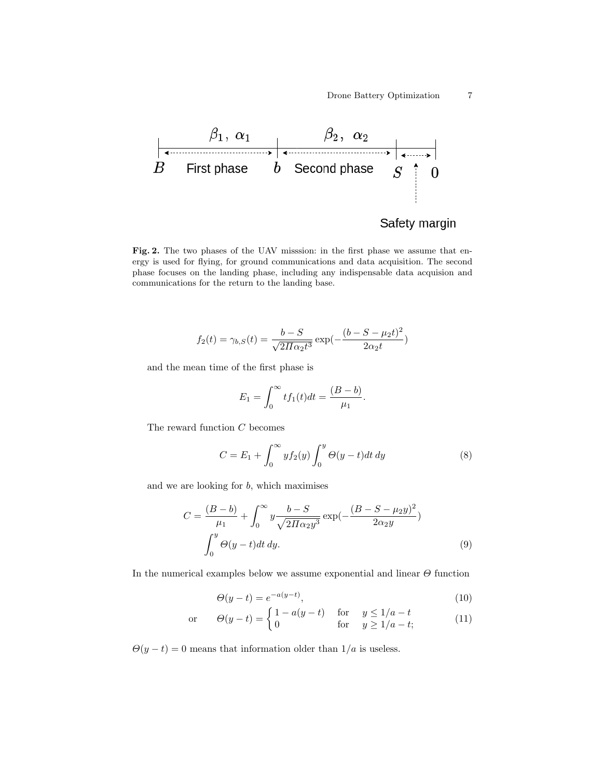

# Safety margin

Fig. 2. The two phases of the UAV misssion: in the first phase we assume that energy is used for flying, for ground communications and data acquisition. The second phase focuses on the landing phase, including any indispensable data acquision and communications for the return to the landing base.

$$
f_2(t) = \gamma_{b,S}(t) = \frac{b - S}{\sqrt{2\pi\alpha_2 t^3}} \exp(-\frac{(b - S - \mu_2 t)^2}{2\alpha_2 t})
$$

and the mean time of the first phase is

$$
E_1 = \int_0^\infty t f_1(t) dt = \frac{(B - b)}{\mu_1}.
$$

The reward function C becomes

$$
C = E_1 + \int_0^\infty y f_2(y) \int_0^y \Theta(y - t) dt dy \tag{8}
$$

and we are looking for  $b$ , which maximises

$$
C = \frac{(B-b)}{\mu_1} + \int_0^\infty y \frac{b-S}{\sqrt{2\pi a_2 y^3}} \exp(-\frac{(B-S-\mu_2 y)^2}{2a_2 y})
$$

$$
\int_0^y \Theta(y-t) dt dy.
$$
(9)

In the numerical examples below we assume exponential and linear  $\Theta$  function

$$
\Theta(y-t) = e^{-a(y-t)},\tag{10}
$$

$$
\text{or} \qquad \Theta(y-t) = \begin{cases} 1 - a(y-t) & \text{for} \quad y \le 1/a - t \\ 0 & \text{for} \quad y \ge 1/a - t; \end{cases} \tag{11}
$$

 $\Theta(y-t) = 0$  means that information older than  $1/a$  is useless.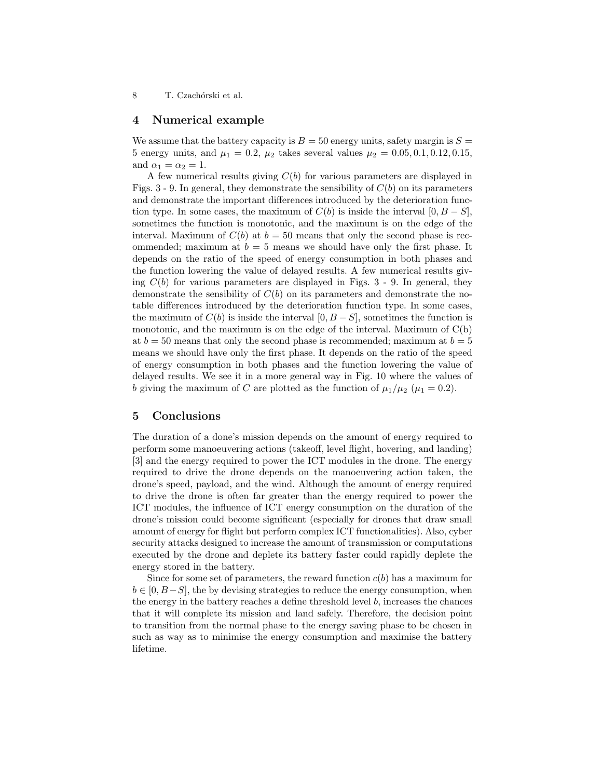8 T. Czachórski et al.

### 4 Numerical example

We assume that the battery capacity is  $B = 50$  energy units, safety margin is  $S =$ 5 energy units, and  $\mu_1 = 0.2$ ,  $\mu_2$  takes several values  $\mu_2 = 0.05, 0.1, 0.12, 0.15$ , and  $\alpha_1 = \alpha_2 = 1$ .

A few numerical results giving  $C(b)$  for various parameters are displayed in Figs. 3 - 9. In general, they demonstrate the sensibility of  $C(b)$  on its parameters and demonstrate the important differences introduced by the deterioration function type. In some cases, the maximum of  $C(b)$  is inside the interval  $[0, B - S]$ , sometimes the function is monotonic, and the maximum is on the edge of the interval. Maximum of  $C(b)$  at  $b = 50$  means that only the second phase is recommended; maximum at  $b = 5$  means we should have only the first phase. It depends on the ratio of the speed of energy consumption in both phases and the function lowering the value of delayed results. A few numerical results giving  $C(b)$  for various parameters are displayed in Figs. 3 - 9. In general, they demonstrate the sensibility of  $C(b)$  on its parameters and demonstrate the notable differences introduced by the deterioration function type. In some cases, the maximum of  $C(b)$  is inside the interval  $[0, B - S]$ , sometimes the function is monotonic, and the maximum is on the edge of the interval. Maximum of  $C(b)$ at  $b = 50$  means that only the second phase is recommended; maximum at  $b = 5$ means we should have only the first phase. It depends on the ratio of the speed of energy consumption in both phases and the function lowering the value of delayed results. We see it in a more general way in Fig. 10 where the values of b giving the maximum of C are plotted as the function of  $\mu_1/\mu_2$  ( $\mu_1 = 0.2$ ).

### 5 Conclusions

The duration of a done's mission depends on the amount of energy required to perform some manoeuvering actions (takeoff, level flight, hovering, and landing) [3] and the energy required to power the ICT modules in the drone. The energy required to drive the drone depends on the manoeuvering action taken, the drone's speed, payload, and the wind. Although the amount of energy required to drive the drone is often far greater than the energy required to power the ICT modules, the influence of ICT energy consumption on the duration of the drone's mission could become significant (especially for drones that draw small amount of energy for flight but perform complex ICT functionalities). Also, cyber security attacks designed to increase the amount of transmission or computations executed by the drone and deplete its battery faster could rapidly deplete the energy stored in the battery.

Since for some set of parameters, the reward function  $c(b)$  has a maximum for  $b \in [0, B-S]$ , the by devising strategies to reduce the energy consumption, when the energy in the battery reaches a define threshold level b, increases the chances that it will complete its mission and land safely. Therefore, the decision point to transition from the normal phase to the energy saving phase to be chosen in such as way as to minimise the energy consumption and maximise the battery lifetime.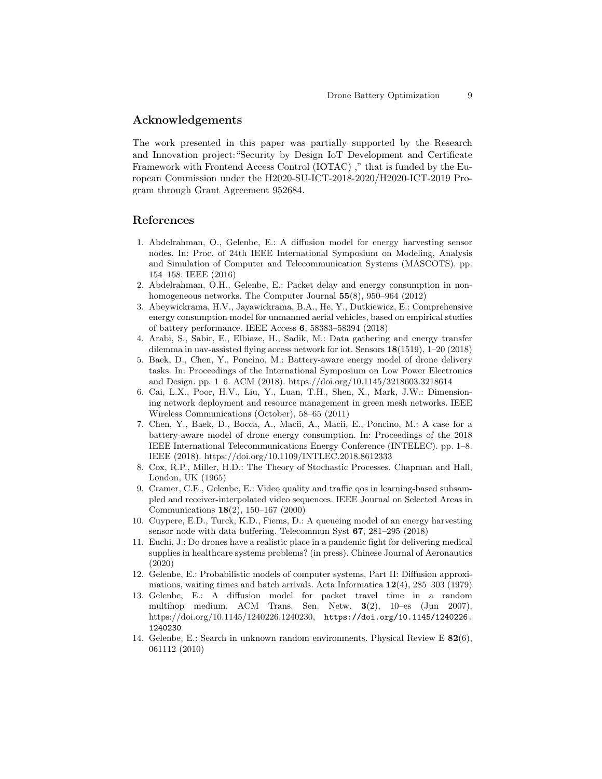## Acknowledgements

The work presented in this paper was partially supported by the Research and Innovation project:"Security by Design IoT Development and Certificate Framework with Frontend Access Control (IOTAC) ," that is funded by the European Commission under the H2020-SU-ICT-2018-2020/H2020-ICT-2019 Program through Grant Agreement 952684.

#### References

- 1. Abdelrahman, O., Gelenbe, E.: A diffusion model for energy harvesting sensor nodes. In: Proc. of 24th IEEE International Symposium on Modeling, Analysis and Simulation of Computer and Telecommunication Systems (MASCOTS). pp. 154–158. IEEE (2016)
- 2. Abdelrahman, O.H., Gelenbe, E.: Packet delay and energy consumption in nonhomogeneous networks. The Computer Journal 55(8), 950–964 (2012)
- 3. Abeywickrama, H.V., Jayawickrama, B.A., He, Y., Dutkiewicz, E.: Comprehensive energy consumption model for unmanned aerial vehicles, based on empirical studies of battery performance. IEEE Access 6, 58383–58394 (2018)
- 4. Arabi, S., Sabir, E., Elbiaze, H., Sadik, M.: Data gathering and energy transfer dilemma in uav-assisted flying access network for iot. Sensors 18(1519), 1–20 (2018)
- 5. Baek, D., Chen, Y., Poncino, M.: Battery-aware energy model of drone delivery tasks. In: Proceedings of the International Symposium on Low Power Electronics and Design. pp. 1–6. ACM (2018). https://doi.org/10.1145/3218603.3218614
- 6. Cai, L.X., Poor, H.V., Liu, Y., Luan, T.H., Shen, X., Mark, J.W.: Dimensioning network deployment and resource management in green mesh networks. IEEE Wireless Communications (October), 58–65 (2011)
- 7. Chen, Y., Baek, D., Bocca, A., Macii, A., Macii, E., Poncino, M.: A case for a battery-aware model of drone energy consumption. In: Proceedings of the 2018 IEEE International Telecommunications Energy Conference (INTELEC). pp. 1–8. IEEE (2018). https://doi.org/10.1109/INTLEC.2018.8612333
- 8. Cox, R.P., Miller, H.D.: The Theory of Stochastic Processes. Chapman and Hall, London, UK (1965)
- 9. Cramer, C.E., Gelenbe, E.: Video quality and traffic qos in learning-based subsampled and receiver-interpolated video sequences. IEEE Journal on Selected Areas in Communications 18(2), 150–167 (2000)
- 10. Cuypere, E.D., Turck, K.D., Fiems, D.: A queueing model of an energy harvesting sensor node with data buffering. Telecommun Syst 67, 281–295 (2018)
- 11. Euchi, J.: Do drones have a realistic place in a pandemic fight for delivering medical supplies in healthcare systems problems? (in press). Chinese Journal of Aeronautics (2020)
- 12. Gelenbe, E.: Probabilistic models of computer systems, Part II: Diffusion approximations, waiting times and batch arrivals. Acta Informatica 12(4), 285–303 (1979)
- 13. Gelenbe, E.: A diffusion model for packet travel time in a random multihop medium. ACM Trans. Sen. Netw. 3(2), 10–es (Jun 2007). https://doi.org/10.1145/1240226.1240230, https://doi.org/10.1145/1240226. 1240230
- 14. Gelenbe, E.: Search in unknown random environments. Physical Review E 82(6), 061112 (2010)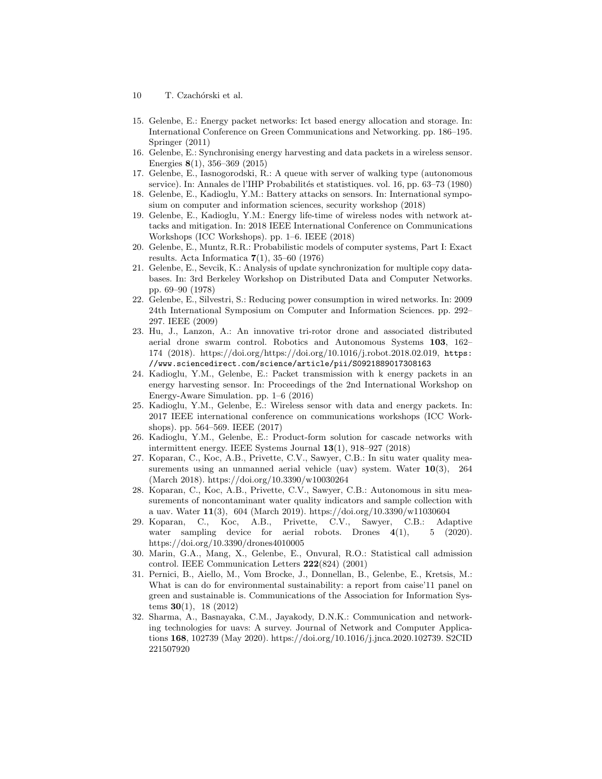- 10 T. Czachórski et al.
- 15. Gelenbe, E.: Energy packet networks: Ict based energy allocation and storage. In: International Conference on Green Communications and Networking. pp. 186–195. Springer (2011)
- 16. Gelenbe, E.: Synchronising energy harvesting and data packets in a wireless sensor. Energies 8(1), 356–369 (2015)
- 17. Gelenbe, E., Iasnogorodski, R.: A queue with server of walking type (autonomous service). In: Annales de l'IHP Probabilités et statistiques. vol. 16, pp. 63–73 (1980)
- 18. Gelenbe, E., Kadioglu, Y.M.: Battery attacks on sensors. In: International symposium on computer and information sciences, security workshop (2018)
- 19. Gelenbe, E., Kadioglu, Y.M.: Energy life-time of wireless nodes with network attacks and mitigation. In: 2018 IEEE International Conference on Communications Workshops (ICC Workshops). pp. 1–6. IEEE (2018)
- 20. Gelenbe, E., Muntz, R.R.: Probabilistic models of computer systems, Part I: Exact results. Acta Informatica  $7(1)$ , 35–60 (1976)
- 21. Gelenbe, E., Sevcik, K.: Analysis of update synchronization for multiple copy databases. In: 3rd Berkeley Workshop on Distributed Data and Computer Networks. pp. 69–90 (1978)
- 22. Gelenbe, E., Silvestri, S.: Reducing power consumption in wired networks. In: 2009 24th International Symposium on Computer and Information Sciences. pp. 292– 297. IEEE (2009)
- 23. Hu, J., Lanzon, A.: An innovative tri-rotor drone and associated distributed aerial drone swarm control. Robotics and Autonomous Systems 103, 162– 174 (2018). https://doi.org/https://doi.org/10.1016/j.robot.2018.02.019, https: //www.sciencedirect.com/science/article/pii/S0921889017308163
- 24. Kadioglu, Y.M., Gelenbe, E.: Packet transmission with k energy packets in an energy harvesting sensor. In: Proceedings of the 2nd International Workshop on Energy-Aware Simulation. pp. 1–6 (2016)
- 25. Kadioglu, Y.M., Gelenbe, E.: Wireless sensor with data and energy packets. In: 2017 IEEE international conference on communications workshops (ICC Workshops). pp. 564–569. IEEE (2017)
- 26. Kadioglu, Y.M., Gelenbe, E.: Product-form solution for cascade networks with intermittent energy. IEEE Systems Journal 13(1), 918–927 (2018)
- 27. Koparan, C., Koc, A.B., Privette, C.V., Sawyer, C.B.: In situ water quality measurements using an unmanned aerial vehicle (uav) system. Water  $10(3)$ , 264 (March 2018). https://doi.org/10.3390/w10030264
- 28. Koparan, C., Koc, A.B., Privette, C.V., Sawyer, C.B.: Autonomous in situ measurements of noncontaminant water quality indicators and sample collection with a uav. Water 11(3), 604 (March 2019). https://doi.org/10.3390/w11030604
- 29. Koparan, C., Koc, A.B., Privette, C.V., Sawyer, C.B.: Adaptive water sampling device for aerial robots. Drones  $4(1)$ , 5 (2020). https://doi.org/10.3390/drones4010005
- 30. Marin, G.A., Mang, X., Gelenbe, E., Onvural, R.O.: Statistical call admission control. IEEE Communication Letters 222(824) (2001)
- 31. Pernici, B., Aiello, M., Vom Brocke, J., Donnellan, B., Gelenbe, E., Kretsis, M.: What is can do for environmental sustainability: a report from caise'11 panel on green and sustainable is. Communications of the Association for Information Systems 30(1), 18 (2012)
- 32. Sharma, A., Basnayaka, C.M., Jayakody, D.N.K.: Communication and networking technologies for uavs: A survey. Journal of Network and Computer Applications 168, 102739 (May 2020). https://doi.org/10.1016/j.jnca.2020.102739. S2CID 221507920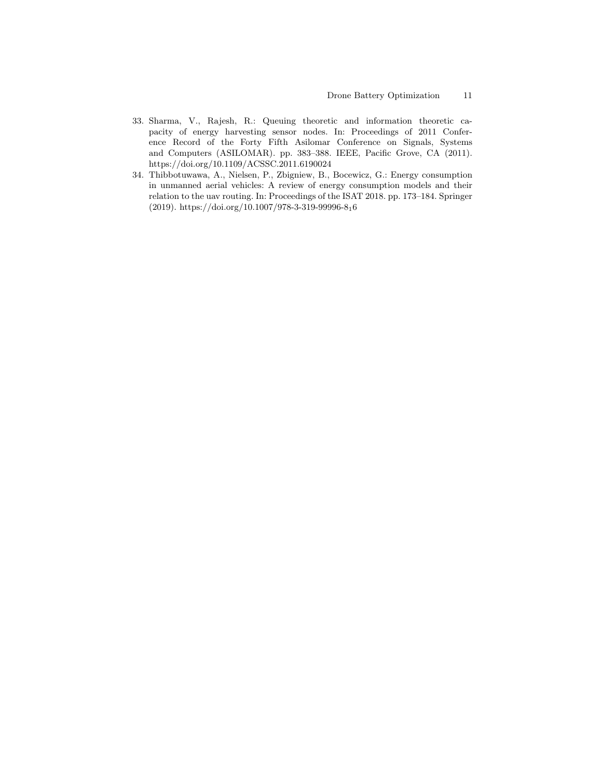- 33. Sharma, V., Rajesh, R.: Queuing theoretic and information theoretic capacity of energy harvesting sensor nodes. In: Proceedings of 2011 Conference Record of the Forty Fifth Asilomar Conference on Signals, Systems and Computers (ASILOMAR). pp. 383–388. IEEE, Pacific Grove, CA (2011). https://doi.org/10.1109/ACSSC.2011.6190024
- 34. Thibbotuwawa, A., Nielsen, P., Zbigniew, B., Bocewicz, G.: Energy consumption in unmanned aerial vehicles: A review of energy consumption models and their relation to the uav routing. In: Proceedings of the ISAT 2018. pp. 173–184. Springer (2019). https://doi.org/10.1007/978-3-319-99996-816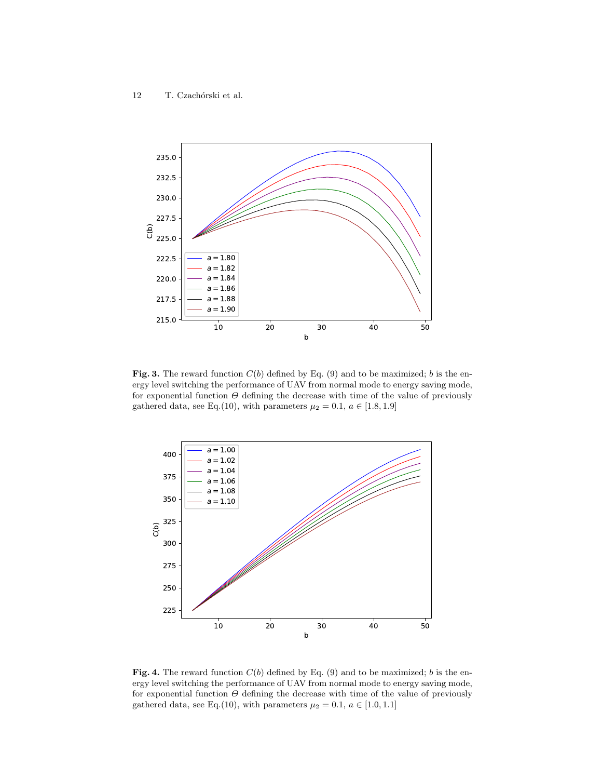

Fig. 3. The reward function  $C(b)$  defined by Eq. (9) and to be maximized; b is the energy level switching the performance of UAV from normal mode to energy saving mode, for exponential function  $\Theta$  defining the decrease with time of the value of previously gathered data, see Eq.(10), with parameters  $\mu_2 = 0.1, a \in [1.8, 1.9]$ 



Fig. 4. The reward function  $C(b)$  defined by Eq. (9) and to be maximized; b is the energy level switching the performance of UAV from normal mode to energy saving mode, for exponential function  $\Theta$  defining the decrease with time of the value of previously gathered data, see Eq.(10), with parameters  $\mu_2 = 0.1, a \in [1.0, 1.1]$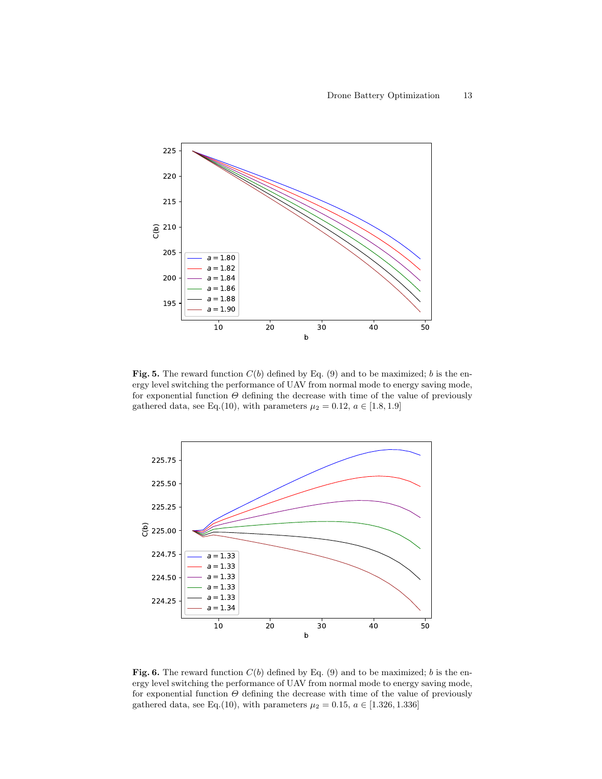

Fig. 5. The reward function  $C(b)$  defined by Eq. (9) and to be maximized; b is the energy level switching the performance of UAV from normal mode to energy saving mode, for exponential function  $\Theta$  defining the decrease with time of the value of previously gathered data, see Eq.(10), with parameters  $\mu_2 = 0.12, a \in [1.8, 1.9]$ 



Fig. 6. The reward function  $C(b)$  defined by Eq. (9) and to be maximized; b is the energy level switching the performance of UAV from normal mode to energy saving mode, for exponential function  $\Theta$  defining the decrease with time of the value of previously gathered data, see Eq.(10), with parameters  $\mu_2 = 0.15$ ,  $a \in [1.326, 1.336]$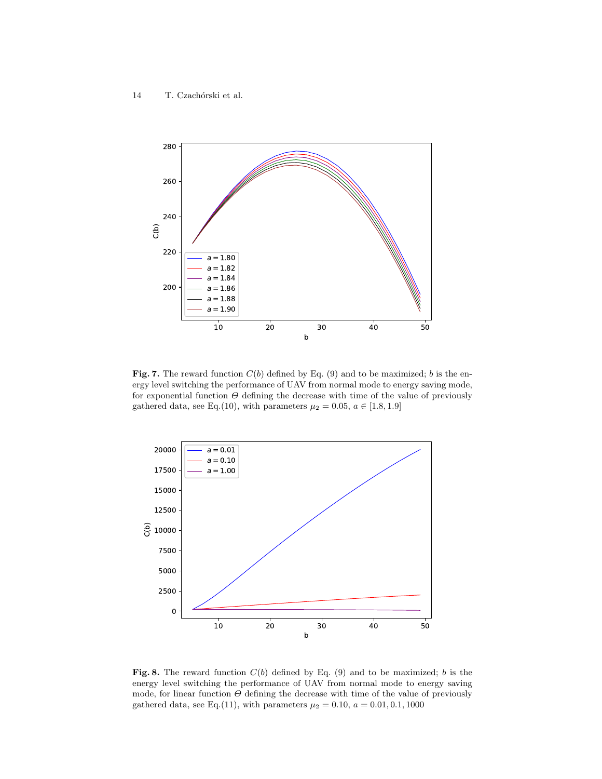

Fig. 7. The reward function  $C(b)$  defined by Eq. (9) and to be maximized; b is the energy level switching the performance of UAV from normal mode to energy saving mode, for exponential function  $\Theta$  defining the decrease with time of the value of previously gathered data, see Eq.(10), with parameters  $\mu_2 = 0.05$ ,  $a \in [1.8, 1.9]$ 



Fig. 8. The reward function  $C(b)$  defined by Eq. (9) and to be maximized; b is the energy level switching the performance of UAV from normal mode to energy saving mode, for linear function  $\Theta$  defining the decrease with time of the value of previously gathered data, see Eq.(11), with parameters  $\mu_2 = 0.10, a = 0.01, 0.1, 1000$